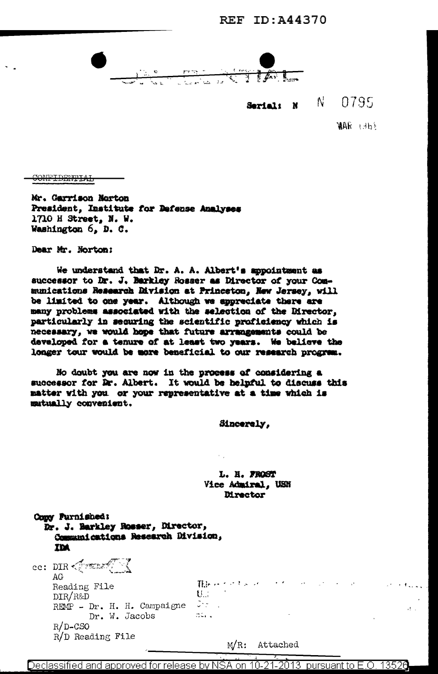

Serial: N N 0795

**WAR LEEP** 

**CONFIDENTIAL** 

Mr. Garrison Norton President, Institute for Defense Analyses 1710 H Street, N. W. Washington 6. D. C.

Dear Mr. Norton:

We understand that Dr. A. A. Albert's appointment as successor to Dr. J. Barkley Rosser as Director of your Communications Research Rivision at Princeton, New Jersey, will be limited to one year. Although we appreciate there are many problems associated with the selection of the Director, particularly in securing the scientific proficiency which is necessary, we would hope that future arrangements could be developed for a tenure of at least two years. We believe the longer tour would be more beneficial to our research program.

No doubt you are now in the process of considering a successor for Dr. Albert. It would be helpful to discuss this matter with you or your representative at a time which is mutually convenient.

Sincerely,

L. H. FROST Vice Admiral, USN **Director** 

| Copy Purnished:<br>Dr. J. Barkley Rosser, Director,<br>Communications Research Division,<br>IDA                                                  |                                                                                                       |       |
|--------------------------------------------------------------------------------------------------------------------------------------------------|-------------------------------------------------------------------------------------------------------|-------|
| cc: DIR $\mathcal{L}$ and $\mathcal{L}$<br>AG.<br>Reading File<br>DIR/R&D<br>REMP - Dr. H. H. Campaigne $\Im z$ .<br>Dr. W. Jacobs<br>$R/D$ -CSO | There to the second to the second control of the second states.<br>$U_{\rm eff}$ $=$ $\pm$<br>್ ನಲ್ಲಿ | at an |
| $R/D$ Reading File                                                                                                                               | $M/R$ :<br>Attached                                                                                   |       |

2013 pursuant to E.O. 13526 Declassified and approved for release by NSA on 10-21-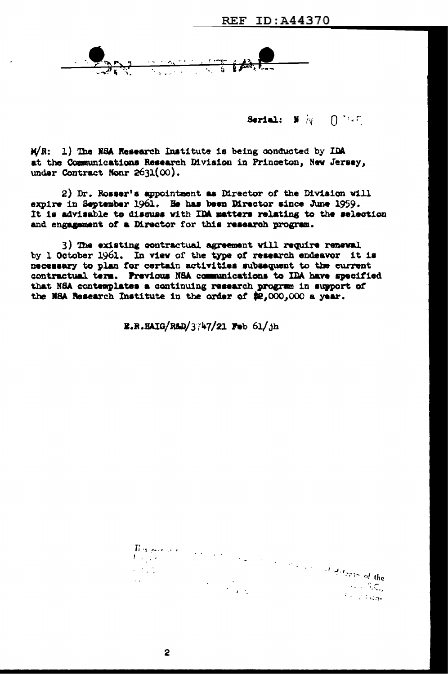$\frac{1}{\sqrt{2\pi}\sqrt{2\pi}}\frac{1}{\sqrt{2\pi}}\frac{1}{\sqrt{2\pi}}\frac{1}{\sqrt{2\pi}}\frac{1}{\sqrt{2\pi}}\frac{1}{\sqrt{2\pi}}\frac{1}{\sqrt{2\pi}}\frac{1}{\sqrt{2\pi}}\frac{1}{\sqrt{2\pi}}\frac{1}{\sqrt{2\pi}}\frac{1}{\sqrt{2\pi}}\frac{1}{\sqrt{2\pi}}\frac{1}{\sqrt{2\pi}}\frac{1}{\sqrt{2\pi}}\frac{1}{\sqrt{2\pi}}\frac{1}{\sqrt{2\pi}}\frac{1}{\sqrt{2\pi}}\frac{1}{\sqrt{2\$ 

Serial:  $\mathbb{N} \times \mathbb{N} \times \mathbb{N}$ 

 $M/R$ : 1) The NSA Research Institute is being conducted by IDA at the Communications Research Division in Princeton, New Jersey, under Contract Nonr  $2631(00)$ .

2) Dr. Rosser's appointment as Director of the Division will expire in September 1961. He has been Director since June 1959. It is advisable to discuss with IDA matters relating to the selection and engagement of a Director for this research program.

3) The existing contractual agreement will require renewal by 1 October 1961. In view of the type of research endeavor it is necessary to plan for certain activities subsequent to the current contractual term. Previous NSA communications to IDA have specified that NSA contemplates a continuing research program in support of the N8A Research Institute in the order of \$2,000,000 a year.

E.R.BAIG/R&D/3747/21 Feb 61/jh

 $H$  is positive in  $\mathbb{R}^n$ of the state of dispense the  $U_{\rm{max}}$  .  $\mathcal{L}^{\text{max}}$  $\sim 100$  $\sim 10^{11}$  and